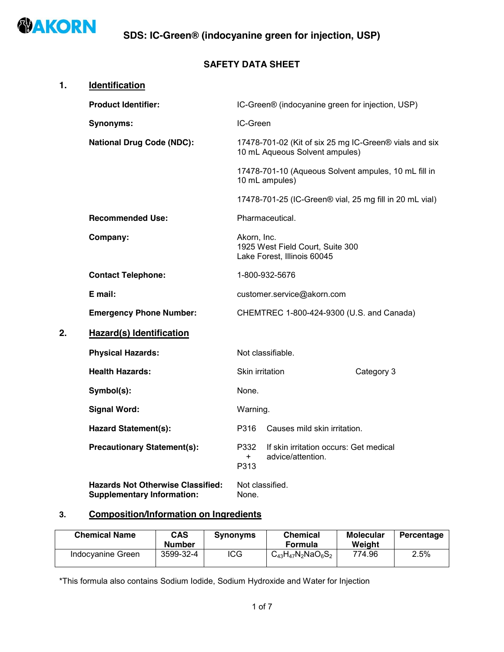

## **SAFETY DATA SHEET**

| 1. | <b>Identification</b>                                                         |                                                                                          |                                                                        |                                                         |  |
|----|-------------------------------------------------------------------------------|------------------------------------------------------------------------------------------|------------------------------------------------------------------------|---------------------------------------------------------|--|
|    | <b>Product Identifier:</b>                                                    |                                                                                          | IC-Green® (indocyanine green for injection, USP)                       |                                                         |  |
|    | <b>Synonyms:</b>                                                              | IC-Green                                                                                 |                                                                        |                                                         |  |
|    | <b>National Drug Code (NDC):</b>                                              | 17478-701-02 (Kit of six 25 mg IC-Green® vials and six<br>10 mL Aqueous Solvent ampules) |                                                                        |                                                         |  |
|    |                                                                               |                                                                                          | 17478-701-10 (Aqueous Solvent ampules, 10 mL fill in<br>10 mL ampules) |                                                         |  |
|    |                                                                               |                                                                                          |                                                                        | 17478-701-25 (IC-Green® vial, 25 mg fill in 20 mL vial) |  |
|    | <b>Recommended Use:</b>                                                       |                                                                                          | Pharmaceutical.                                                        |                                                         |  |
|    | Company:                                                                      | Akorn, Inc.<br>1925 West Field Court, Suite 300<br>Lake Forest, Illinois 60045           |                                                                        |                                                         |  |
|    | <b>Contact Telephone:</b>                                                     | 1-800-932-5676                                                                           |                                                                        |                                                         |  |
|    | E mail:                                                                       | customer.service@akorn.com                                                               |                                                                        |                                                         |  |
|    | <b>Emergency Phone Number:</b>                                                |                                                                                          | CHEMTREC 1-800-424-9300 (U.S. and Canada)                              |                                                         |  |
| 2. | Hazard(s) Identification                                                      |                                                                                          |                                                                        |                                                         |  |
|    | <b>Physical Hazards:</b>                                                      |                                                                                          | Not classifiable.                                                      |                                                         |  |
|    | <b>Health Hazards:</b>                                                        | Skin irritation                                                                          |                                                                        | Category 3                                              |  |
|    | Symbol(s):                                                                    | None.                                                                                    |                                                                        |                                                         |  |
|    | <b>Signal Word:</b>                                                           | Warning.                                                                                 |                                                                        |                                                         |  |
|    | <b>Hazard Statement(s):</b>                                                   | P316                                                                                     | Causes mild skin irritation.                                           |                                                         |  |
|    | <b>Precautionary Statement(s):</b>                                            | P332<br>$+$<br>P313                                                                      | If skin irritation occurs: Get medical<br>advice/attention.            |                                                         |  |
|    | <b>Hazards Not Otherwise Classified:</b><br><b>Supplementary Information:</b> | None.                                                                                    | Not classified.                                                        |                                                         |  |

# **3. Composition/Information on Ingredients**

| <b>Chemical Name</b> | <b>CAS</b><br><b>Number</b> | <b>Synonyms</b> | <b>Chemical</b><br>Formula | Molecular<br>Weiaht | Percentage |
|----------------------|-----------------------------|-----------------|----------------------------|---------------------|------------|
| Indocyanine Green    | 3599-32-4                   | ICG             | $C_{43}H_{47}N_2NaO_6S_2$  | 774.96              | 2.5%       |

\*This formula also contains Sodium Iodide, Sodium Hydroxide and Water for Injection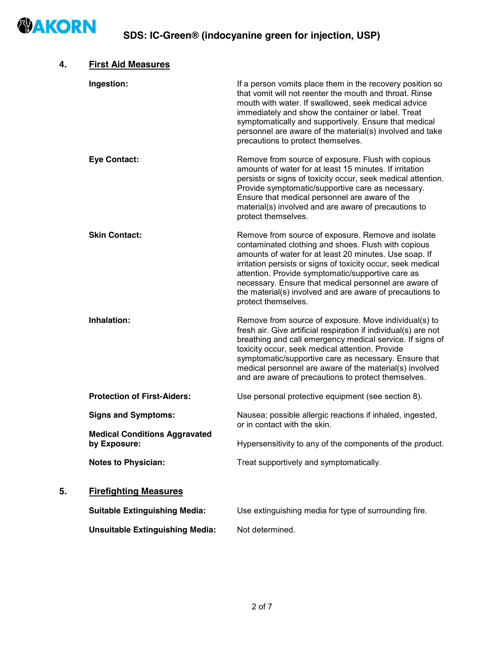

| 4. | <b>First Aid Measures</b>                            |                                                                                                                                                                                                                                                                                                                                                                                                                                      |
|----|------------------------------------------------------|--------------------------------------------------------------------------------------------------------------------------------------------------------------------------------------------------------------------------------------------------------------------------------------------------------------------------------------------------------------------------------------------------------------------------------------|
|    | Ingestion:                                           | If a person vomits place them in the recovery position so<br>that vomit will not reenter the mouth and throat. Rinse<br>mouth with water. If swallowed, seek medical advice<br>immediately and show the container or label. Treat<br>symptomatically and supportively. Ensure that medical<br>personnel are aware of the material(s) involved and take<br>precautions to protect themselves.                                         |
|    | <b>Eye Contact:</b>                                  | Remove from source of exposure. Flush with copious<br>amounts of water for at least 15 minutes. If irritation<br>persists or signs of toxicity occur, seek medical attention.<br>Provide symptomatic/supportive care as necessary.<br>Ensure that medical personnel are aware of the<br>material(s) involved and are aware of precautions to<br>protect themselves.                                                                  |
|    | <b>Skin Contact:</b>                                 | Remove from source of exposure. Remove and isolate<br>contaminated clothing and shoes. Flush with copious<br>amounts of water for at least 20 minutes. Use soap. If<br>irritation persists or signs of toxicity occur, seek medical<br>attention. Provide symptomatic/supportive care as<br>necessary. Ensure that medical personnel are aware of<br>the material(s) involved and are aware of precautions to<br>protect themselves. |
|    | Inhalation:                                          | Remove from source of exposure. Move individual(s) to<br>fresh air. Give artificial respiration if individual(s) are not<br>breathing and call emergency medical service. If signs of<br>toxicity occur, seek medical attention. Provide<br>symptomatic/supportive care as necessary. Ensure that<br>medical personnel are aware of the material(s) involved<br>and are aware of precautions to protect themselves.                  |
|    | <b>Protection of First-Aiders:</b>                   | Use personal protective equipment (see section 8).                                                                                                                                                                                                                                                                                                                                                                                   |
|    | <b>Signs and Symptoms:</b>                           | Nausea; possible allergic reactions if inhaled, ingested,<br>or in contact with the skin.                                                                                                                                                                                                                                                                                                                                            |
|    | <b>Medical Conditions Aggravated</b><br>by Exposure: | Hypersensitivity to any of the components of the product.                                                                                                                                                                                                                                                                                                                                                                            |
|    | <b>Notes to Physician:</b>                           | Treat supportively and symptomatically.                                                                                                                                                                                                                                                                                                                                                                                              |
| 5. | <b>Firefighting Measures</b>                         |                                                                                                                                                                                                                                                                                                                                                                                                                                      |
|    | <b>Suitable Extinguishing Media:</b>                 | Use extinguishing media for type of surrounding fire.                                                                                                                                                                                                                                                                                                                                                                                |
|    | <b>Unsuitable Extinguishing Media:</b>               | Not determined.                                                                                                                                                                                                                                                                                                                                                                                                                      |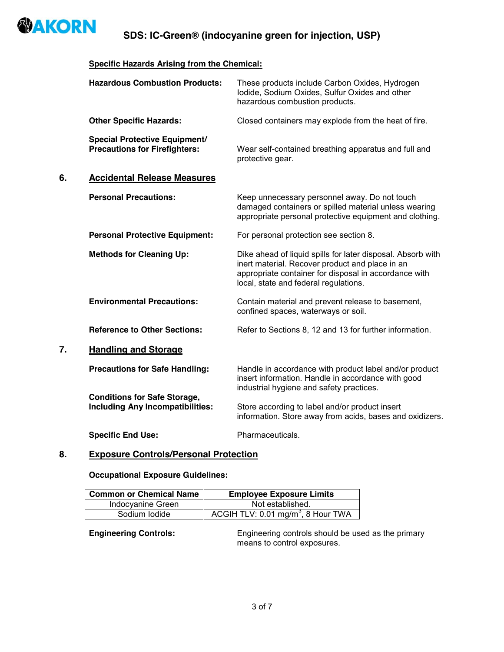

**SDS: IC-Green® (indocyanine green for injection, USP)**

#### **Specific Hazards Arising from the Chemical:**

|    | <b>Hazardous Combustion Products:</b>                                          | These products include Carbon Oxides, Hydrogen<br>lodide, Sodium Oxides, Sulfur Oxides and other<br>hazardous combustion products.                                                                               |
|----|--------------------------------------------------------------------------------|------------------------------------------------------------------------------------------------------------------------------------------------------------------------------------------------------------------|
|    | <b>Other Specific Hazards:</b>                                                 | Closed containers may explode from the heat of fire.                                                                                                                                                             |
|    | <b>Special Protective Equipment/</b><br><b>Precautions for Firefighters:</b>   | Wear self-contained breathing apparatus and full and<br>protective gear.                                                                                                                                         |
| 6. | <b>Accidental Release Measures</b>                                             |                                                                                                                                                                                                                  |
|    | <b>Personal Precautions:</b>                                                   | Keep unnecessary personnel away. Do not touch<br>damaged containers or spilled material unless wearing<br>appropriate personal protective equipment and clothing.                                                |
|    | <b>Personal Protective Equipment:</b>                                          | For personal protection see section 8.                                                                                                                                                                           |
|    | <b>Methods for Cleaning Up:</b>                                                | Dike ahead of liquid spills for later disposal. Absorb with<br>inert material. Recover product and place in an<br>appropriate container for disposal in accordance with<br>local, state and federal regulations. |
|    | <b>Environmental Precautions:</b>                                              | Contain material and prevent release to basement,<br>confined spaces, waterways or soil.                                                                                                                         |
|    | <b>Reference to Other Sections:</b>                                            | Refer to Sections 8, 12 and 13 for further information.                                                                                                                                                          |
| 7. | <b>Handling and Storage</b>                                                    |                                                                                                                                                                                                                  |
|    | <b>Precautions for Safe Handling:</b>                                          | Handle in accordance with product label and/or product<br>insert information. Handle in accordance with good<br>industrial hygiene and safety practices.                                                         |
|    | <b>Conditions for Safe Storage,</b><br><b>Including Any Incompatibilities:</b> | Store according to label and/or product insert<br>information. Store away from acids, bases and oxidizers.                                                                                                       |
|    | <b>Specific End Use:</b>                                                       | Pharmaceuticals.                                                                                                                                                                                                 |
|    |                                                                                |                                                                                                                                                                                                                  |

### **8. Exposure Controls/Personal Protection**

**Occupational Exposure Guidelines:**

| <b>Common or Chemical Name</b> | <b>Employee Exposure Limits</b>                |  |
|--------------------------------|------------------------------------------------|--|
| Indocyanine Green              | Not established.                               |  |
| Sodium Iodide                  | ACGIH TLV: 0.01 mg/m <sup>3</sup> , 8 Hour TWA |  |

**Engineering Controls:** Engineering controls should be used as the primary means to control exposures.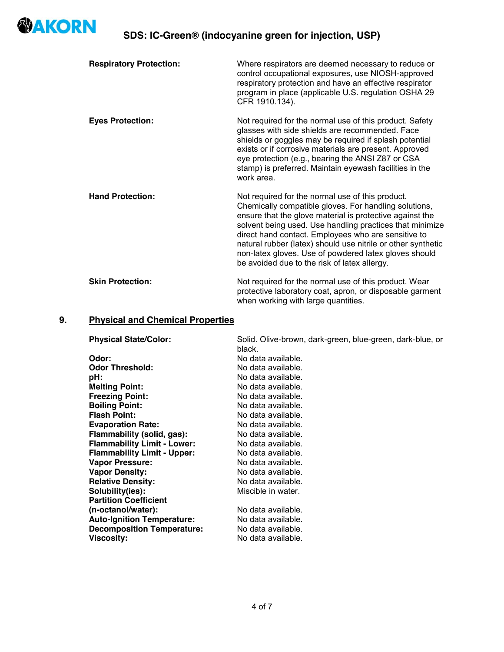

| <b>Respiratory Protection:</b> | Where respirators are deemed necessary to reduce or<br>control occupational exposures, use NIOSH-approved<br>respiratory protection and have an effective respirator<br>program in place (applicable U.S. regulation OSHA 29<br>CFR 1910.134).                                                                                                                                                                                                                    |
|--------------------------------|-------------------------------------------------------------------------------------------------------------------------------------------------------------------------------------------------------------------------------------------------------------------------------------------------------------------------------------------------------------------------------------------------------------------------------------------------------------------|
| <b>Eyes Protection:</b>        | Not required for the normal use of this product. Safety<br>glasses with side shields are recommended. Face<br>shields or goggles may be required if splash potential<br>exists or if corrosive materials are present. Approved<br>eye protection (e.g., bearing the ANSI Z87 or CSA<br>stamp) is preferred. Maintain eyewash facilities in the<br>work area.                                                                                                      |
| <b>Hand Protection:</b>        | Not required for the normal use of this product.<br>Chemically compatible gloves. For handling solutions,<br>ensure that the glove material is protective against the<br>solvent being used. Use handling practices that minimize<br>direct hand contact. Employees who are sensitive to<br>natural rubber (latex) should use nitrile or other synthetic<br>non-latex gloves. Use of powdered latex gloves should<br>be avoided due to the risk of latex allergy. |
| <b>Skin Protection:</b>        | Not required for the normal use of this product. Wear<br>protective laboratory coat, apron, or disposable garment<br>when working with large quantities.                                                                                                                                                                                                                                                                                                          |

# **9. Physical and Chemical Properties**

| <b>Physical State/Color:</b>       | Solid. Olive-brown, dark-green, blue-green, dark-blue, or<br>black. |
|------------------------------------|---------------------------------------------------------------------|
| Odor:                              | No data available.                                                  |
| <b>Odor Threshold:</b>             | No data available.                                                  |
| pH:                                | No data available.                                                  |
| <b>Melting Point:</b>              | No data available.                                                  |
| <b>Freezing Point:</b>             | No data available.                                                  |
| <b>Boiling Point:</b>              | No data available.                                                  |
| <b>Flash Point:</b>                | No data available.                                                  |
| <b>Evaporation Rate:</b>           | No data available.                                                  |
| Flammability (solid, gas):         | No data available.                                                  |
| <b>Flammability Limit - Lower:</b> | No data available.                                                  |
| <b>Flammability Limit - Upper:</b> | No data available.                                                  |
| <b>Vapor Pressure:</b>             | No data available.                                                  |
| <b>Vapor Density:</b>              | No data available.                                                  |
| <b>Relative Density:</b>           | No data available.                                                  |
| Solubility(ies):                   | Miscible in water.                                                  |
| <b>Partition Coefficient</b>       |                                                                     |
| (n-octanol/water):                 | No data available.                                                  |
| <b>Auto-Ignition Temperature:</b>  | No data available.                                                  |
| <b>Decomposition Temperature:</b>  | No data available.                                                  |
| Viscosity:                         | No data available.                                                  |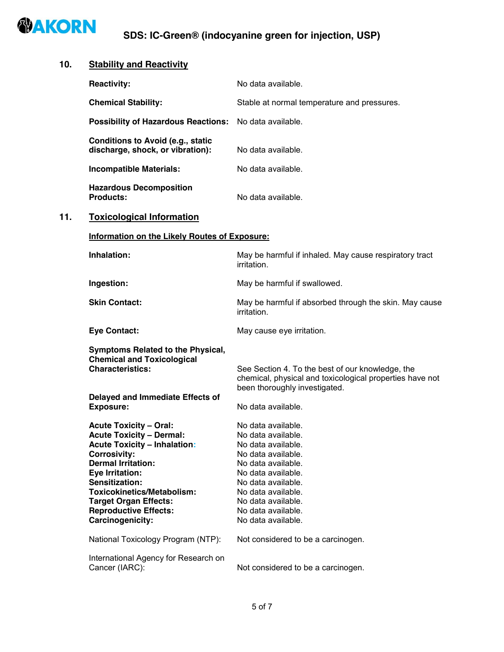

# **10. Stability and Reactivity**

|     | <b>Reactivity:</b>                                                                                                                                                                                                                                                                                                                                              | No data available.                                                                                                                                                                                                                                                                   |
|-----|-----------------------------------------------------------------------------------------------------------------------------------------------------------------------------------------------------------------------------------------------------------------------------------------------------------------------------------------------------------------|--------------------------------------------------------------------------------------------------------------------------------------------------------------------------------------------------------------------------------------------------------------------------------------|
|     | <b>Chemical Stability:</b>                                                                                                                                                                                                                                                                                                                                      | Stable at normal temperature and pressures.                                                                                                                                                                                                                                          |
|     | <b>Possibility of Hazardous Reactions:</b>                                                                                                                                                                                                                                                                                                                      | No data available.                                                                                                                                                                                                                                                                   |
|     | <b>Conditions to Avoid (e.g., static</b><br>discharge, shock, or vibration):                                                                                                                                                                                                                                                                                    | No data available.                                                                                                                                                                                                                                                                   |
|     | <b>Incompatible Materials:</b>                                                                                                                                                                                                                                                                                                                                  | No data available.                                                                                                                                                                                                                                                                   |
|     | <b>Hazardous Decomposition</b><br><b>Products:</b>                                                                                                                                                                                                                                                                                                              | No data available.                                                                                                                                                                                                                                                                   |
| 11. | <b>Toxicological Information</b>                                                                                                                                                                                                                                                                                                                                |                                                                                                                                                                                                                                                                                      |
|     | <b>Information on the Likely Routes of Exposure:</b>                                                                                                                                                                                                                                                                                                            |                                                                                                                                                                                                                                                                                      |
|     | Inhalation:                                                                                                                                                                                                                                                                                                                                                     | May be harmful if inhaled. May cause respiratory tract<br>irritation.                                                                                                                                                                                                                |
|     | Ingestion:                                                                                                                                                                                                                                                                                                                                                      | May be harmful if swallowed.                                                                                                                                                                                                                                                         |
|     | <b>Skin Contact:</b>                                                                                                                                                                                                                                                                                                                                            | May be harmful if absorbed through the skin. May cause<br>irritation.                                                                                                                                                                                                                |
|     | <b>Eye Contact:</b>                                                                                                                                                                                                                                                                                                                                             | May cause eye irritation.                                                                                                                                                                                                                                                            |
|     | <b>Symptoms Related to the Physical,</b><br><b>Chemical and Toxicological</b><br><b>Characteristics:</b>                                                                                                                                                                                                                                                        | See Section 4. To the best of our knowledge, the<br>chemical, physical and toxicological properties have not<br>been thoroughly investigated.                                                                                                                                        |
|     | <b>Delayed and Immediate Effects of</b><br><b>Exposure:</b>                                                                                                                                                                                                                                                                                                     | No data available.                                                                                                                                                                                                                                                                   |
|     | <b>Acute Toxicity - Oral:</b><br><b>Acute Toxicity - Dermal:</b><br><b>Acute Toxicity - Inhalation:</b><br><b>Corrosivity:</b><br><b>Dermal Irritation:</b><br>Eye Irritation:<br>Sensitization:<br><b>Toxicokinetics/Metabolism:</b><br><b>Target Organ Effects:</b><br><b>Reproductive Effects:</b><br>Carcinogenicity:<br>National Toxicology Program (NTP): | No data available.<br>No data available.<br>No data available.<br>No data available.<br>No data available.<br>No data available.<br>No data available.<br>No data available.<br>No data available.<br>No data available.<br>No data available.<br>Not considered to be a carcinogen. |
|     | International Agency for Research on<br>Cancer (IARC):                                                                                                                                                                                                                                                                                                          | Not considered to be a carcinogen.                                                                                                                                                                                                                                                   |
|     |                                                                                                                                                                                                                                                                                                                                                                 |                                                                                                                                                                                                                                                                                      |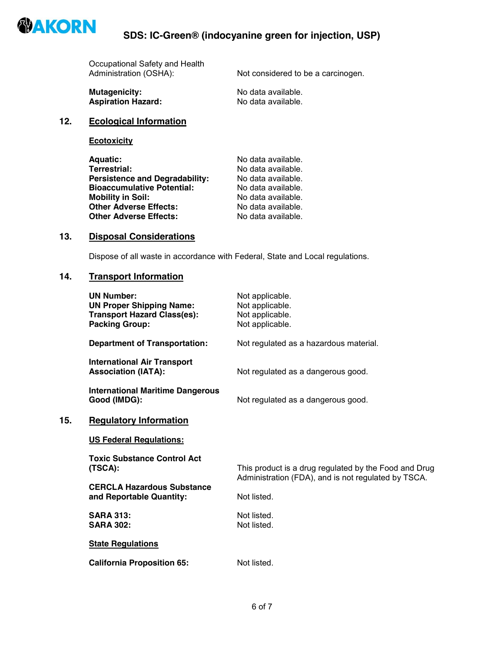

| Not considered to be a carcinogen. |
|------------------------------------|
|                                    |

**Mutagenicity:**<br> **Aspiration Hazard:**<br> **Aspiration Hazard:**<br> **Aspiration Hazard:**<br> **Aspiration Hazard: Aspiration Hazard:** 

### **12. Ecological Information**

**Ecotoxicity**

| <b>Aquatic:</b>                       | No data available. |
|---------------------------------------|--------------------|
| <b>Terrestrial:</b>                   | No data available. |
| <b>Persistence and Degradability:</b> | No data available. |
| <b>Bioaccumulative Potential:</b>     | No data available. |
| <b>Mobility in Soil:</b>              | No data available. |
| <b>Other Adverse Effects:</b>         | No data available. |
| <b>Other Adverse Effects:</b>         | No data available. |
|                                       |                    |

## **13. Disposal Considerations**

Dispose of all waste in accordance with Federal, State and Local regulations.

#### **14. Transport Information**

|     | <b>UN Number:</b><br><b>UN Proper Shipping Name:</b><br><b>Transport Hazard Class(es):</b><br><b>Packing Group:</b> | Not applicable.<br>Not applicable.<br>Not applicable.<br>Not applicable.                                     |
|-----|---------------------------------------------------------------------------------------------------------------------|--------------------------------------------------------------------------------------------------------------|
|     | <b>Department of Transportation:</b>                                                                                | Not regulated as a hazardous material.                                                                       |
|     | <b>International Air Transport</b><br><b>Association (IATA):</b>                                                    | Not regulated as a dangerous good.                                                                           |
|     | <b>International Maritime Dangerous</b><br>Good (IMDG):                                                             | Not regulated as a dangerous good.                                                                           |
| 15. | <b>Regulatory Information</b>                                                                                       |                                                                                                              |
|     | <b>US Federal Regulations:</b>                                                                                      |                                                                                                              |
|     | <b>Toxic Substance Control Act</b><br>(TSCA):<br><b>CERCLA Hazardous Substance</b>                                  | This product is a drug regulated by the Food and Drug<br>Administration (FDA), and is not regulated by TSCA. |
|     | and Reportable Quantity:                                                                                            | Not listed.                                                                                                  |
|     | <b>SARA 313:</b><br><b>SARA 302:</b>                                                                                | Not listed.<br>Not listed.                                                                                   |
|     | <b>State Regulations</b>                                                                                            |                                                                                                              |
|     | <b>California Proposition 65:</b>                                                                                   | Not listed.                                                                                                  |